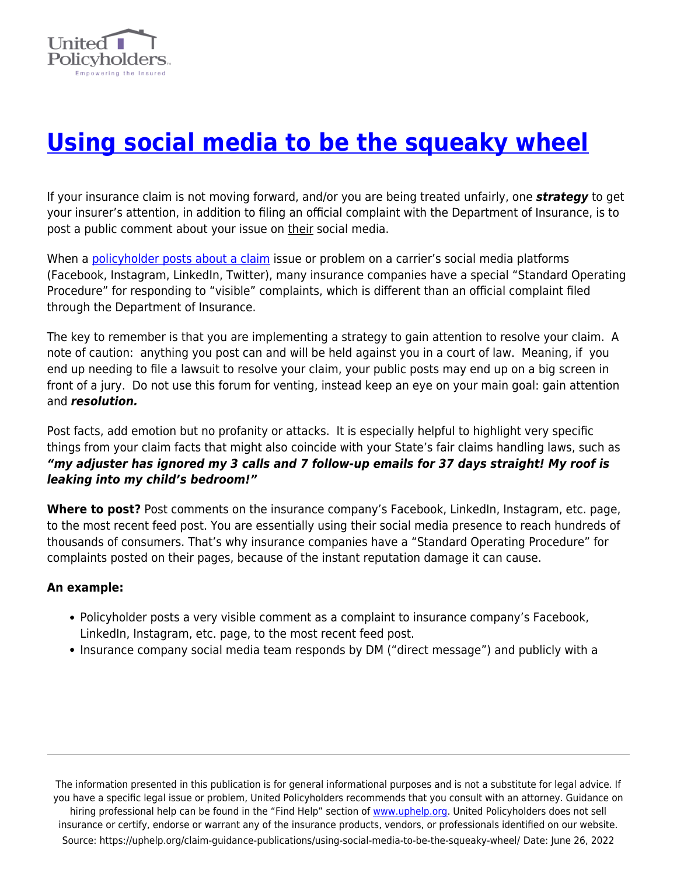

## **[Using social media to be the squeaky wheel](https://uphelp.org/claim-guidance-publications/using-social-media-to-be-the-squeaky-wheel/)**

If your insurance claim is not moving forward, and/or you are being treated unfairly, one *strategy* to get your insurer's attention, in addition to filing an official complaint with the Department of Insurance, is to post a public comment about your issue on their social media.

When a [policyholder posts about a claim](https://www.insurancejournal.com/news/southcentral/2021/01/11/597038.htm) issue or problem on a carrier's social media platforms (Facebook, Instagram, LinkedIn, Twitter), many insurance companies have a special "Standard Operating Procedure" for responding to "visible" complaints, which is different than an official complaint filed through the Department of Insurance.

The key to remember is that you are implementing a strategy to gain attention to resolve your claim. A note of caution: anything you post can and will be held against you in a court of law. Meaning, if you end up needing to file a lawsuit to resolve your claim, your public posts may end up on a big screen in front of a jury. Do not use this forum for venting, instead keep an eye on your main goal: gain attention and *resolution.* 

Post facts, add emotion but no profanity or attacks. It is especially helpful to highlight very specific things from your claim facts that might also coincide with your State's fair claims handling laws, such as *"my adjuster has ignored my 3 calls and 7 follow-up emails for 37 days straight! My roof is leaking into my child's bedroom!"*

**Where to post?** Post comments on the insurance company's Facebook, LinkedIn, Instagram, etc. page, to the most recent feed post. You are essentially using their social media presence to reach hundreds of thousands of consumers. That's why insurance companies have a "Standard Operating Procedure" for complaints posted on their pages, because of the instant reputation damage it can cause.

## **An example:**

- Policyholder posts a very visible comment as a complaint to insurance company's Facebook, LinkedIn, Instagram, etc. page, to the most recent feed post.
- Insurance company social media team responds by DM ("direct message") and publicly with a

The information presented in this publication is for general informational purposes and is not a substitute for legal advice. If you have a specific legal issue or problem, United Policyholders recommends that you consult with an attorney. Guidance on hiring professional help can be found in the "Find Help" section of [www.uphelp.org.](http://www.uphelp.org/) United Policyholders does not sell insurance or certify, endorse or warrant any of the insurance products, vendors, or professionals identified on our website. Source: https://uphelp.org/claim-guidance-publications/using-social-media-to-be-the-squeaky-wheel/ Date: June 26, 2022